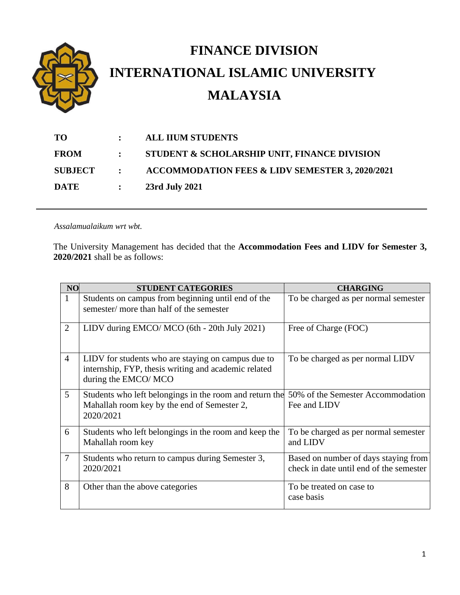

**SUBJECT : ACCOMMODATION FEES & LIDV SEMESTER 3, 2020/2021**

**DATE : 23rd July 2021**

*Assalamualaikum wrt wbt.*

The University Management has decided that the **Accommodation Fees and LIDV for Semester 3, 2020/2021** shall be as follows:

| <b>NO</b>      | <b>STUDENT CATEGORIES</b>                                                                                                         | <b>CHARGING</b>                                                                 |
|----------------|-----------------------------------------------------------------------------------------------------------------------------------|---------------------------------------------------------------------------------|
| $\mathbf{1}$   | Students on campus from beginning until end of the<br>semester/ more than half of the semester                                    | To be charged as per normal semester                                            |
| $\overline{2}$ | LIDV during EMCO/ MCO (6th - 20th July 2021)                                                                                      | Free of Charge (FOC)                                                            |
| $\overline{4}$ | LIDV for students who are staying on campus due to<br>internship, FYP, thesis writing and academic related<br>during the EMCO/MCO | To be charged as per normal LIDV                                                |
| 5              | Students who left belongings in the room and return the<br>Mahallah room key by the end of Semester 2,<br>2020/2021               | 50% of the Semester Accommodation<br>Fee and LIDV                               |
| 6              | Students who left belongings in the room and keep the<br>Mahallah room key                                                        | To be charged as per normal semester<br>and LIDV                                |
| $\overline{7}$ | Students who return to campus during Semester 3,<br>2020/2021                                                                     | Based on number of days staying from<br>check in date until end of the semester |
| 8              | Other than the above categories                                                                                                   | To be treated on case to<br>case basis                                          |